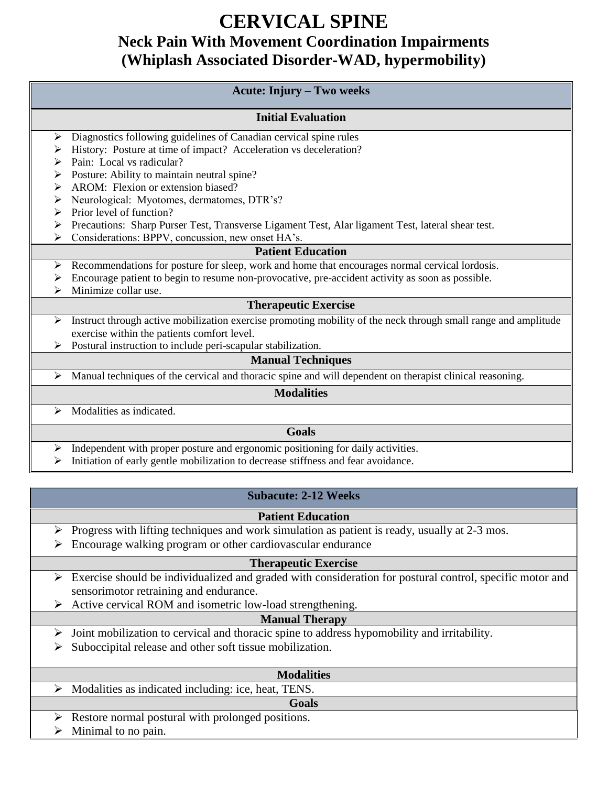## **CERVICAL SPINE Neck Pain With Movement Coordination Impairments (Whiplash Associated Disorder-WAD, hypermobility)**

| Acute: Injury – Two weeks                                                                                                                                                                                                                                                                                           |  |
|---------------------------------------------------------------------------------------------------------------------------------------------------------------------------------------------------------------------------------------------------------------------------------------------------------------------|--|
| <b>Initial Evaluation</b>                                                                                                                                                                                                                                                                                           |  |
| Diagnostics following guidelines of Canadian cervical spine rules<br>➤                                                                                                                                                                                                                                              |  |
| History: Posture at time of impact? Acceleration vs deceleration?<br>➤                                                                                                                                                                                                                                              |  |
| Pain: Local vs radicular?<br>↘                                                                                                                                                                                                                                                                                      |  |
| Posture: Ability to maintain neutral spine?<br>➤                                                                                                                                                                                                                                                                    |  |
| AROM: Flexion or extension biased?<br>↘                                                                                                                                                                                                                                                                             |  |
| Neurological: Myotomes, dermatomes, DTR's?<br>➤                                                                                                                                                                                                                                                                     |  |
| Prior level of function?<br>➤                                                                                                                                                                                                                                                                                       |  |
| Precautions: Sharp Purser Test, Transverse Ligament Test, Alar ligament Test, lateral shear test.<br>➤                                                                                                                                                                                                              |  |
| Considerations: BPPV, concussion, new onset HA's.<br>➤                                                                                                                                                                                                                                                              |  |
| <b>Patient Education</b>                                                                                                                                                                                                                                                                                            |  |
| Recommendations for posture for sleep, work and home that encourages normal cervical lordosis.<br>➤                                                                                                                                                                                                                 |  |
| Encourage patient to begin to resume non-provocative, pre-accident activity as soon as possible.<br>➤                                                                                                                                                                                                               |  |
| Minimize collar use.                                                                                                                                                                                                                                                                                                |  |
| <b>Therapeutic Exercise</b>                                                                                                                                                                                                                                                                                         |  |
| Instruct through active mobilization exercise promoting mobility of the neck through small range and amplitude<br>➤                                                                                                                                                                                                 |  |
| exercise within the patients comfort level.                                                                                                                                                                                                                                                                         |  |
| Postural instruction to include peri-scapular stabilization.                                                                                                                                                                                                                                                        |  |
| <b>Manual Techniques</b>                                                                                                                                                                                                                                                                                            |  |
| Manual techniques of the cervical and thoracic spine and will dependent on therapist clinical reasoning.<br>➤                                                                                                                                                                                                       |  |
| <b>Modalities</b>                                                                                                                                                                                                                                                                                                   |  |
| Modalities as indicated.<br>➤                                                                                                                                                                                                                                                                                       |  |
| Goals                                                                                                                                                                                                                                                                                                               |  |
| Independent with proper posture and ergonomic positioning for daily activities.<br>➤                                                                                                                                                                                                                                |  |
| $\frac{1}{2}$ $\frac{1}{2}$ $\frac{1}{2}$ $\frac{1}{2}$ $\frac{1}{2}$ $\frac{1}{2}$ $\frac{1}{2}$ $\frac{1}{2}$ $\frac{1}{2}$ $\frac{1}{2}$ $\frac{1}{2}$ $\frac{1}{2}$ $\frac{1}{2}$ $\frac{1}{2}$ $\frac{1}{2}$ $\frac{1}{2}$ $\frac{1}{2}$ $\frac{1}{2}$ $\frac{1}{2}$ $\frac{1}{2}$ $\frac{1}{2}$ $\frac{1}{2}$ |  |

Initiation of early gentle mobilization to decrease stiffness and fear avoidance.

## **Subacute: 2-12 Weeks**

#### **Patient Education**

- Progress with lifting techniques and work simulation as patient is ready, usually at  $2-3$  mos.
- Encourage walking program or other cardiovascular endurance

#### **Therapeutic Exercise**

- $\triangleright$  Exercise should be individualized and graded with consideration for postural control, specific motor and sensorimotor retraining and endurance.
- $\triangleright$  Active cervical ROM and isometric low-load strengthening.

## **Manual Therapy**

- $\triangleright$  Joint mobilization to cervical and thoracic spine to address hypomobility and irritability.
- $\triangleright$  Suboccipital release and other soft tissue mobilization.

| <b>Modalities</b>                                                  |  |
|--------------------------------------------------------------------|--|
| Modalities as indicated including: ice, heat, TENS.                |  |
| Goals                                                              |  |
| $\triangleright$ Restore normal postural with prolonged positions. |  |
| Minimal to no pain.<br>$\triangleright$                            |  |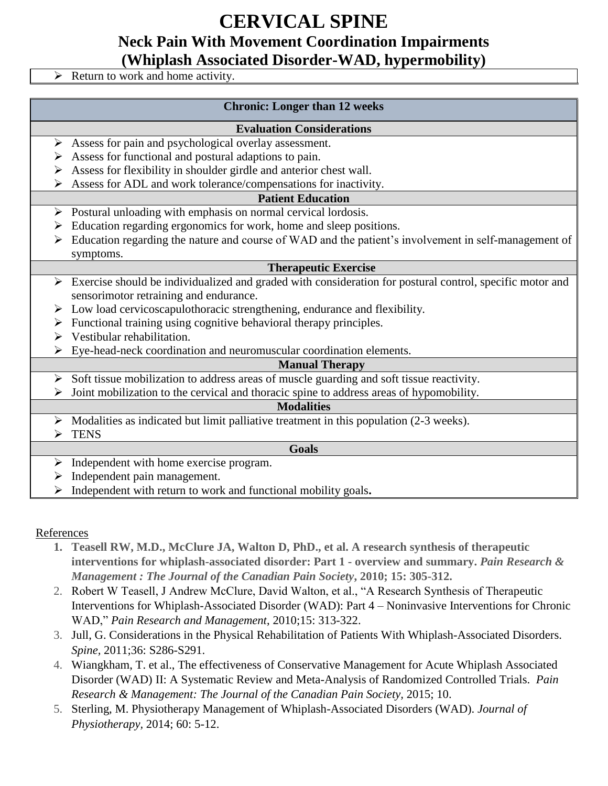# **CERVICAL SPINE**

**Neck Pain With Movement Coordination Impairments**

**(Whiplash Associated Disorder-WAD, hypermobility)**

 $\triangleright$  Return to work and home activity.

## **Chronic: Longer than 12 weeks**

#### **Evaluation Considerations**

- $\triangleright$  Assess for pain and psychological overlay assessment.
- $\triangleright$  Assess for functional and postural adaptions to pain.
- Assess for flexibility in shoulder girdle and anterior chest wall.
- $\triangleright$  Assess for ADL and work tolerance/compensations for inactivity.

## **Patient Education**

- $\triangleright$  Postural unloading with emphasis on normal cervical lordosis.
- $\triangleright$  Education regarding ergonomics for work, home and sleep positions.
- Education regarding the nature and course of WAD and the patient's involvement in self-management of symptoms.

### **Therapeutic Exercise**

- $\triangleright$  Exercise should be individualized and graded with consideration for postural control, specific motor and sensorimotor retraining and endurance.
- $\triangleright$  Low load cervicoscapulothoracic strengthening, endurance and flexibility.
- $\triangleright$  Functional training using cognitive behavioral therapy principles.
- $\triangleright$  Vestibular rehabilitation.
- Eye-head-neck coordination and neuromuscular coordination elements.

## **Manual Therapy**

 $\triangleright$  Soft tissue mobilization to address areas of muscle guarding and soft tissue reactivity.

 $\triangleright$  Joint mobilization to the cervical and thoracic spine to address areas of hypomobility.

#### **Modalities**

- $\triangleright$  Modalities as indicated but limit palliative treatment in this population (2-3 weeks).
- $\triangleright$  TENS

#### **Goals**

- $\triangleright$  Independent with home exercise program.
- $\triangleright$  Independent pain management.
- Independent with return to work and functional mobility goals**.**

## References

- **1. Teasell RW, M.D., McClure JA, Walton D, PhD., et al. A research synthesis of therapeutic interventions for whiplash-associated disorder: Part 1 - overview and summary.** *Pain Research & Management : The Journal of the Canadian Pain Society***, 2010; 15: 305-312.**
- 2. Robert W Teasell, J Andrew McClure, David Walton, et al., "A Research Synthesis of Therapeutic Interventions for Whiplash-Associated Disorder (WAD): Part 4 – Noninvasive Interventions for Chronic WAD," *Pain Research and Management*, 2010;15: 313-322.
- 3. Jull, G. Considerations in the Physical Rehabilitation of Patients With Whiplash-Associated Disorders. *Spine,* 2011;36: S286-S291.
- 4. Wiangkham, T. et al., The effectiveness of Conservative Management for Acute Whiplash Associated Disorder (WAD) II: A Systematic Review and Meta-Analysis of Randomized Controlled Trials. *Pain Research & Management: The Journal of the Canadian Pain Society,* 2015; 10.
- 5. Sterling, M. Physiotherapy Management of Whiplash-Associated Disorders (WAD). *Journal of Physiotherapy,* 2014; 60: 5-12.